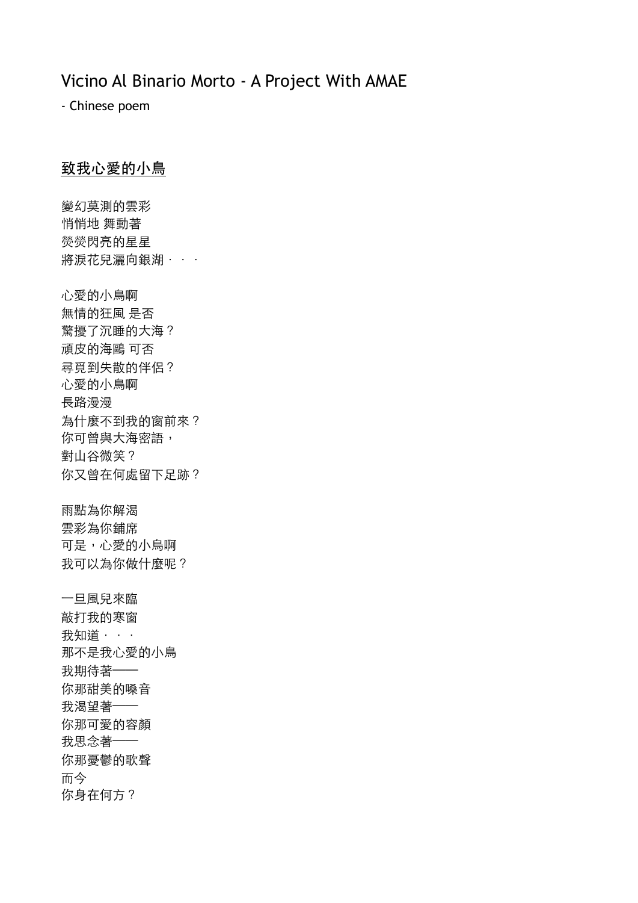## Vicino Al Binario Morto - A Project With AMAE

- Chinese poem

## 致我心愛的小鳥

變幻莫測的雲彩 悄悄地 舞動著 熒熒閃亮的星星 將淚花兒灑向銀湖 · · · 心愛的小鳥啊 無情的狂⾵ 是否 驚擾了沉睡的⼤海? 頑皮的海鷗 可否 尋覓到失散的伴侶? 心愛的小鳥啊 長路漫漫 為什麼不到我的窗前來? 你可曾與大海密語, 對山谷微笑? 你又曾在何處留下足跡? 雨點為你解渴 雲彩為你鋪席 可是,心愛的小鳥啊 我可以為你做什麼呢? ⼀旦⾵兒來臨 敲打我的寒窗 我知道 · · · 那不是我心愛的小鳥 我期待著—— 你那甜美的嗓音 我渴望著—— 你那可愛的容顏 我思念著—— 你那憂鬱的歌聲 而今 你身在何方?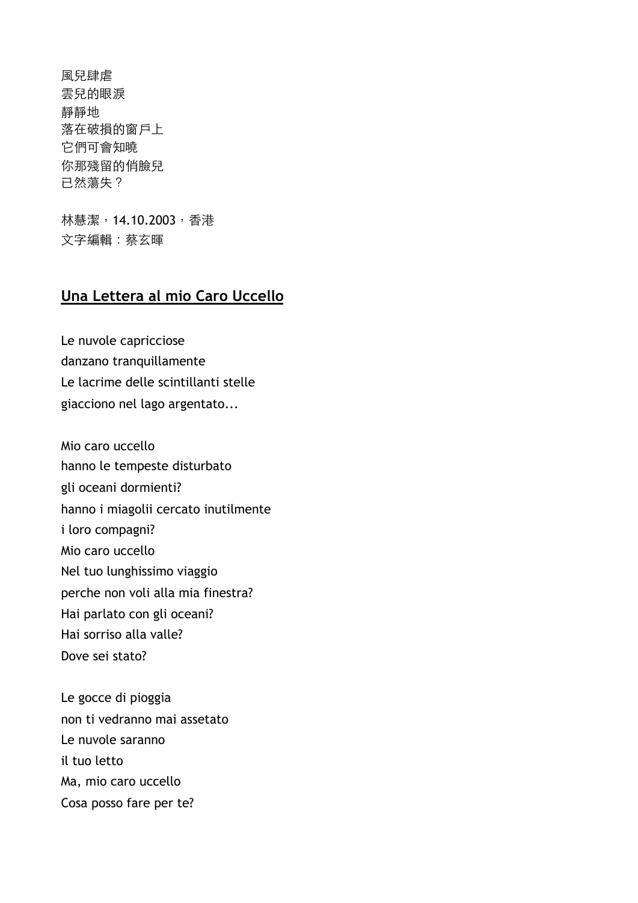風兒肆虐 雲兒的眼淚 靜靜地 落在破損的窗戶上 它們可會知曉 你那殘留的俏臉兒 已然蕩失?

林慧潔,14.10.2003,香港 文字編輯:蔡玄暉

## **Una Lettera al mio Caro Uccello**

Le nuvole capricciose danzano tranquillamente Le lacrime delle scintillanti stelle giacciono nel lago argentato...

Mio caro uccello hanno le tempeste disturbato gli oceani dormienti? hanno i miagolii cercato inutilmente i loro compagni? Mio caro uccello Nel tuo lunghissimo viaggio perche non voli alla mia finestra? Hai parlato con gli oceani? Hai sorriso alla valle? Dove sei stato?

Le gocce di pioggia non ti vedranno mai assetato Le nuvole saranno il tuo letto Ma, mio caro uccello Cosa posso fare per te?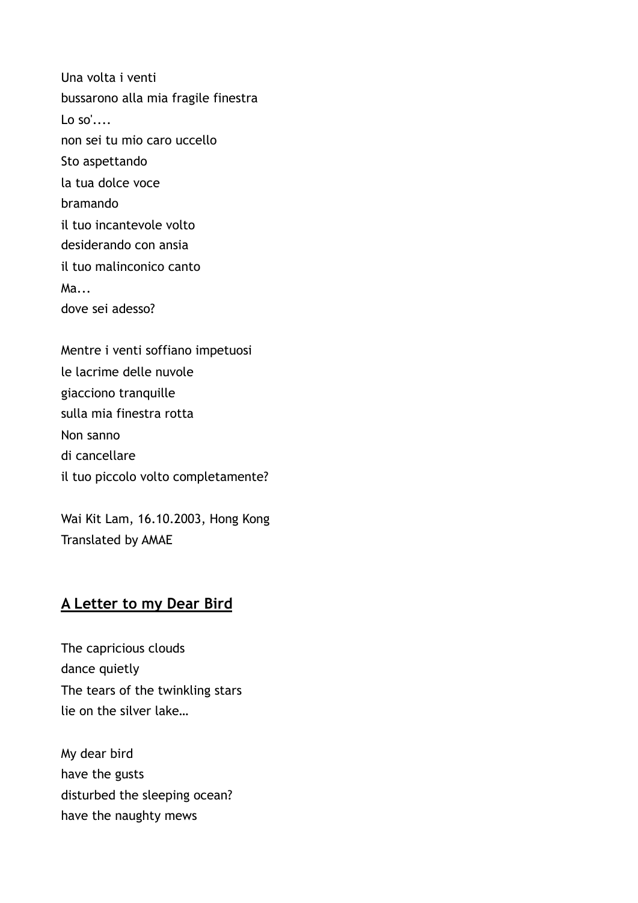Una volta i venti bussarono alla mia fragile finestra Lo so'.... non sei tu mio caro uccello Sto aspettando la tua dolce voce bramando il tuo incantevole volto desiderando con ansia il tuo malinconico canto Ma... dove sei adesso?

Mentre i venti soffiano impetuosi le lacrime delle nuvole giacciono tranquille sulla mia finestra rotta Non sanno di cancellare il tuo piccolo volto completamente?

Wai Kit Lam, 16.10.2003, Hong Kong Translated by AMAE

## **A Letter to my Dear Bird**

The capricious clouds dance quietly The tears of the twinkling stars lie on the silver lake…

My dear bird have the gusts disturbed the sleeping ocean? have the naughty mews